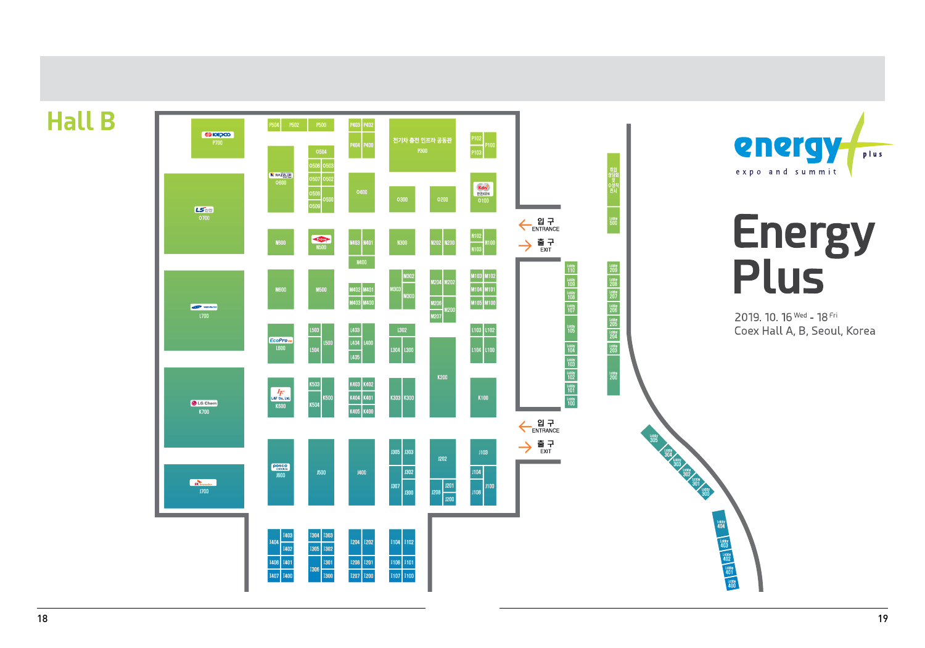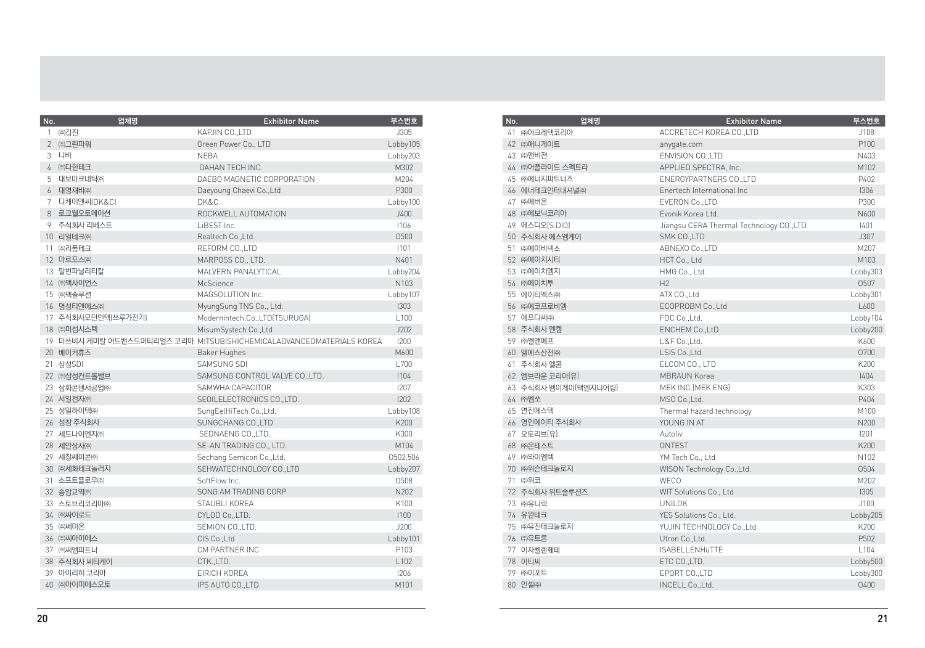| No. | 업체명                | <b>Exhibitor Name</b>                                                | 부스번호             |
|-----|--------------------|----------------------------------------------------------------------|------------------|
|     | 1 ㈜갑진              | KAPJIN CO., LTD                                                      | J305             |
|     | 2 ㈜그린파워            | Green Power Co., LTD                                                 | Lobby105         |
|     | 3 니바               | <b>NEBA</b>                                                          | Lobby203         |
| 4   | ㈜다한테크              | DAHAN TECH INC.                                                      | M302             |
|     | 5 대보마크네틱㈜          | DAEBO MAGNETIC CORPORATION                                           | M204             |
| 6   | 대영채비㈜              | Daeyoung Chaevi Co., Ltd                                             | P300             |
|     | 7 디케이앤씨(DK&C)      | DK&C                                                                 | Lobby100         |
|     | 8 로크웰오토메이션         | ROCKWELL AUTOMATION                                                  | J400             |
|     | 9 주식회사 리베스트        | LiBEST Inc.                                                          | 1106             |
|     | 10 리얼테크㈜           | Realtech Co., Ltd.                                                   | 0500             |
|     | 11 ㈜리폼테크           | REFORM CO.,LTD                                                       | 1101             |
|     | 12 마르포스㈜           | MARPOSS CO., LTD.                                                    | N401             |
|     | 13 말번파날리티칼         | MALVERN PANALYTICAL                                                  | Lobby204         |
|     | 14 ㈜맥사이언스          | McScience                                                            | N103             |
|     | 15 ㈜맥솔루션           | MAGSOLUTION Inc.                                                     | Lobby107         |
|     | 16 명성티엔에스㈜         | MyungSung TNS Co., Ltd.                                              | 1303             |
|     | 17 주식회사모던인텍(쓰루가전기) | Modernintech.Co.,LTD(TSURUGA)                                        | L <sub>100</sub> |
|     | 18 ㈜미섬시스텍          | MisumSystech Co., Ltd                                                | J202             |
|     |                    | 19 미쓰비시 케미칼 어드밴스드머티리얼즈 코리아 MITSUBISHICHEMICALADVANCEDMATERIALS KOREA | 1200             |
|     | 20 베이커휴즈           | Baker Hughes                                                         | M600             |
|     | 21 삼성SDI           | SAMSUNG SDI                                                          | L700             |
|     | 22 ㈜삼성컨트롤밸브        | SAMSUNG CONTROL VALVE CO., LTD.                                      | 1104             |
|     | 23 삼화콘덴서공업㈜        | SAMWHA CAPACITOR                                                     | 1207             |
|     | 24 서일전자㈜           | SEOILELECTRONICS CO., LTD.                                           | 1202             |
|     | 25 성일하이텍㈜          | SungEelHiTech Co., Ltd.                                              | Lobby108         |
|     | 26 성창 주식회사         | SUNGCHANG CO., LTD                                                   | K200             |
|     | 27 세드나이엔지㈜         | SEDNAENG CO., LTD.                                                   | K300             |
|     | 28 세안상사㈜           | SE-AN TRADING CO., LTD.                                              | M104             |
|     | 29 세창쎄미콘㈜          | Sechang Semicon Co., Ltd.                                            | 0502,506         |
|     | 30 ㈜세화테크놀러지        | SEHWATECHNOLOGY CO., LTD                                             | Lobby207         |
|     | 31 소프트플로우㈜         | SoftFlow Inc.                                                        | 0508             |
|     | 32 송암교역㈜           | SONG AM TRADING CORP                                                 | N202             |
|     | 33 스토브리코리아㈜        | STAUBLI KOREA                                                        | K100             |
|     | 34 ㈜싸이로드           | CYLOD Co, LTD.                                                       | 1100             |
|     | 35 ㈜쎄미온            | SEMION CO., LTD.                                                     | J200             |
|     | 36 ㈜씨아이에스          | CIS Co., Ltd                                                         | Lobby101         |
|     | 37 ㈜씨엠파트너          | CM PARTNER INC                                                       | P103             |
|     | 38 주식회사 씨티케이       | CTK.,LTD.                                                            | L <sub>102</sub> |
|     | 39 아이리히 코리아        | EIRICH KOREA                                                         | 1206             |
|     | 40 ㈜아이피에스오토        | IPS AUTO CO., LTD                                                    | M101             |

| No. | 업체명                                                       | <b>Exhibitor Name</b>      | 부스번호     |
|-----|-----------------------------------------------------------|----------------------------|----------|
|     | 41 ㈜아크레텍코리아                                               | ACCRETECH KOREA CO., LTD   | J108     |
|     | 42 ㈜애니게이트                                                 | anygate.com                | P100     |
|     | 43 ㈜앤비젼<br>ENVISION CO., LTD                              |                            | N403     |
|     | 44 ㈜어플라이드 스펙트라                                            | APPLIED SPECTRA, Inc.      | M102     |
|     | 45 ㈜에너지파트너즈                                               | ENERGYPARTNERS CO., LTD    | P402     |
|     | 46 에너테크인터내셔널㈜                                             | Enertech International Inc | 1306     |
|     | 47 ㈜에버온                                                   | EVERON Co., LTD            | P300     |
|     | 48 ㈜에보닉코리아<br>Evonik Korea Ltd.                           |                            | N600     |
|     | 49 에스디오(S.DIO)<br>Jiangsu CERA Thermal Technology CO.,LTD |                            | 1401     |
|     | 50 주식회사 에스엠케이<br>SMK CO., LTD                             |                            | J307     |
|     | 51 ㈜에이비넥소                                                 | ABNEXO Co., LTD            | M207     |
|     | 52 ㈜에이치시티                                                 | HCT Co., Ltd               | M103     |
|     | 53 ㈜에이치엠지                                                 | HMG Co., Ltd.              | Lobby303 |
|     | 54 ㈜에이치투                                                  | H <sub>2</sub>             | 0507     |
|     | 55 에이티엑스㈜                                                 | ATX CO., Ltd               | Lobby301 |
|     | 56 ㈜에코프로비엠                                                | ECOPROBM Co., Ltd          | L600     |
|     | 57 에프디씨㈜                                                  | FDC Co., Ltd.              | Lobby104 |
|     | 58 주식회사 엔켐                                                | ENCHEM Co., LtD            | Lobby200 |
|     | 59 ㈜엘앤에프                                                  | L&F Co., Ltd.              | K600     |
|     | 60 엘에스산전㈜                                                 | LSIS Co., Ltd.             | 0700     |
|     | 61 주식회사 엘콤                                                | ELCOM CO., LTD             | K200     |
|     | 62 엠브라운 코리아(유)                                            | <b>MBRAUN Korea</b>        | 1404     |
|     | 63 주식회사 엠이케이(맥엔지니어링)                                      | MEK INC. (MEK ENG)         | K303     |
|     | 64 ㈜엠쏘                                                    | MSO Co., Ltd.              | P404     |
|     | 65 연진에스텍                                                  | Thermal hazard technology  | M100     |
|     | 66 영인에이티 주식회사                                             | YOUNG IN AT                | N200     |
|     | 67 오토리브(유)                                                | Autoliv                    | 1201     |
|     | 68 ㈜온테스트                                                  | <b>ONTEST</b>              | K200     |
|     | 69 ㈜와이엠텍                                                  | YM Tech Co., Ltd           | N102     |
|     | 70 ㈜위슨테크놀로지                                               | WISON Technology Co., Ltd. | 0504     |
|     | 71 ㈜위코                                                    | <b>WECO</b>                | M202     |
|     | 72 주식회사 위트솔루션즈                                            | WIT Solutions Co., Ltd     | 1305     |
|     | 73 ㈜유니락                                                   | <b>UNILOK</b>              | J100     |
|     | 74 유완테크                                                   | YES Solutions Co., Ltd.    | Lobby205 |
|     | 75 ㈜유진테크놀로지                                               | YUJIN TECHNOLOGY Co., Ltd  | K200     |
|     | 76 ㈜유트론                                                   | Utron Co., Ltd.            | P502     |
|     | 77 이자벨렌훼테                                                 | <b>ISABELLENHüTTE</b>      | L104     |
|     | 78 이티씨                                                    | ETC CO., LTD.              | Lobby500 |
|     | 79 ㈜이포트                                                   | EPORT CO.,LTD              | Lobby300 |
|     | 80 인셀㈜                                                    | INCELL Co., Ltd.           | 0400     |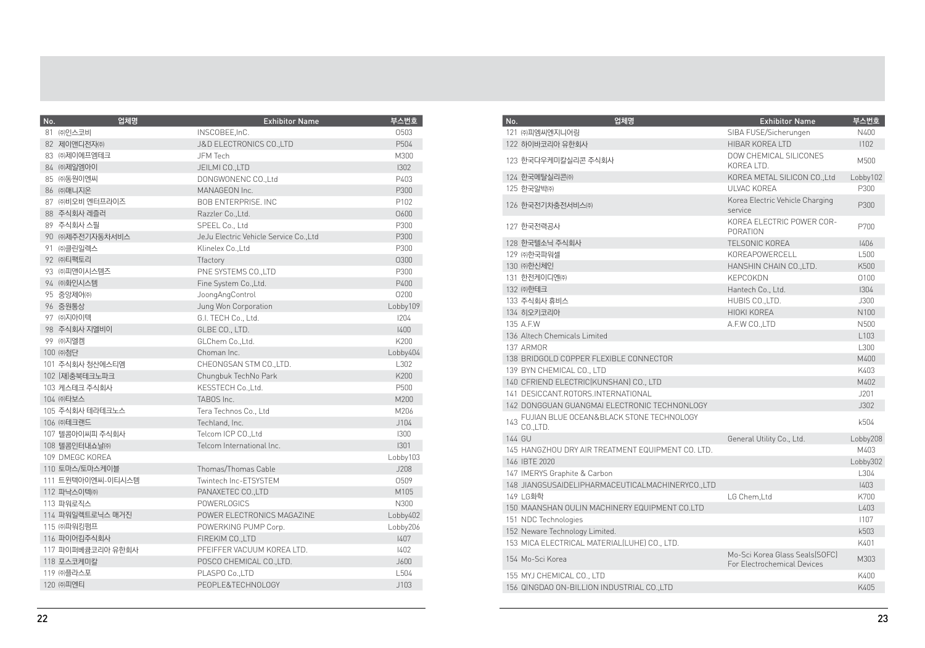| No. | 업체명               | <b>Exhibitor Name</b>                  | 부스번호     |
|-----|-------------------|----------------------------------------|----------|
|     | 81 ㈜인스코비          | INSCOBEE, InC.                         | 0503     |
|     | 82 제이앤디전자㈜        | J&D ELECTRONICS CO.,LTD                | P504     |
|     | 83 ㈜제이에프엠테크       | JFM Tech                               | M300     |
|     | 84 ㈜제일엠아이         | JEILMI CO.,LTD                         | 1302     |
|     | 85 ㈜동원이엔씨         | DONGWONENC CO., Ltd                    | P403     |
|     | 86 ㈜매니지온          | MANAGEON Inc.                          | P300     |
|     | 87 ㈜비오비 엔터프라이즈    | <b>BOB ENTERPRISE. INC.</b>            | P102     |
|     | 88 주식회사 레즐러       | Razzler Co., Ltd.                      | 0600     |
|     | 89 주식회사 스필        | SPEEL Co., Ltd                         | P300     |
|     | 90 ㈜제주전기자동차서비스    | JeJu Electric Vehicle Service Co., Ltd | P300     |
|     | 91 ㈜클린일렉스         | Klinelex Co., Ltd                      | P300     |
|     | 92 ㈜티팩토리          | Tfactory                               | 0300     |
|     | 93 ㈜피앤이시스템즈       | PNE SYSTEMS CO., LTD                   | P300     |
|     | 94 ㈜화인시스템         | Fine System Co., Ltd.                  | P400     |
|     | 95 중앙제어㈜          | JoongAngControl                        | 0200     |
|     | 96 중원통상           | Jung Won Corporation                   | Lobby109 |
|     | 97 ㈜지아이텍          | G.I. TECH Co., Ltd.                    | 1204     |
|     | 98 주식회사 지엘비이      | GLBE CO., LTD.                         | 1400     |
|     | 99 ㈜지엘켁           | GLChem Co., Ltd.                       | K200     |
|     | 100 ㈜첨단           | Choman Inc.                            | Lobby404 |
|     | 101 주식회사 청산에스티엠   | CHEONGSAN STM CO.,LTD.                 | L302     |
|     | 102 (재)충북테크노파크    | Chungbuk TechNo Park                   | K200     |
|     | 103 케스테크 주식회사     | KESSTECH Co., Ltd.                     | P500     |
|     | 104 ㈜타보스          | TABOS Inc.                             | M200     |
|     | 105 주식회사 테라테크노스   | Tera Technos Co., Ltd                  | M206     |
|     | 106 ㈜테크랜드         | Techland, Inc.                         | J104     |
|     | 107 텔콤아이씨피 주식회사   | Telcom ICP CO., Ltd                    | 1300     |
|     | 108 텔콤인터내쇼널㈜      | Telcom International Inc.              | 1301     |
|     | 109 DMEGC KOREA   |                                        | Lobby103 |
|     | 110 토마스/토마스케이블    | Thomas/Thomas Cable                    | J208     |
|     | 111 트윈텍아이엔씨-이티시스템 | Twintech Inc-ETSYSTEM                  | 0509     |
|     | 112 파낙스이텍㈜        | PANAXETEC CO., LTD                     | M105     |
|     | 113 파워로직스         | <b>POWERLOGICS</b>                     | N300     |
|     | 114 파워일렉트로닉스 매거진  | POWER ELECTRONICS MAGAZINE             | Lobby402 |
|     | 115 ㈜파워킹펌프        | POWERKING PUMP Corp.                   | Lobby206 |
|     | 116 파이어킴주식회사      | FIREKIM CO., LTD                       | 1407     |
|     | 117 파이퍼베큠코리아 유한회사 | PFEIFFER VACUUM KOREA LTD.             | 1402     |
|     | 118 포스코케미칼        | POSCO CHEMICAL CO., LTD.               | J600     |
|     | 119 ㈜플라스포         | PLASPO Co., LTD                        | L504     |
|     | 120 ㈜피엔티          | PEOPLE&TECHNOLOGY                      | J103     |

| No. | 업체명                                                 | <b>Exhibitor Name</b>                                         | 부스번호             |
|-----|-----------------------------------------------------|---------------------------------------------------------------|------------------|
|     | 121 ㈜피엠씨엔지니어링                                       | SIBA FUSE/Sicherungen                                         | N400             |
|     | 122 하이바코리아 유한회사                                     | HIBAR KORFA I TD                                              | 1102             |
|     | 123 한국다우케미칼실리콘 주식회사                                 | DOW CHEMICAL SILICONES<br>KOREA LTD.                          | M500             |
|     | 124 한국메탈실리콘㈜                                        | KOREA METAL SILICON CO., Ltd                                  | Lobby102         |
|     | 125 한국알박㈜                                           | UI VAC KORFA                                                  | P300             |
|     | 126 한국전기차충전서비스㈜                                     | Korea Electric Vehicle Charging<br>service                    | P300             |
|     | 127 한국전력공사                                          | KORFA FI FCTRIC POWER COR-<br>PORATION                        | P700             |
|     | 128 한국텔소닉 주식회사                                      | TELSONIC KOREA                                                | 1406             |
|     | 129 ㈜한국파워셀                                          | KORFAPOWERCELL                                                | L500             |
|     | 130 ㈜한신체인                                           | HANSHIN CHAIN CO., LTD.                                       | K500             |
|     | 131 한전케이디엔㈜                                         | <b>KEPCOKDN</b>                                               | 0100             |
|     | 132 ㈜한테크                                            | Hantech Co., Ltd.                                             | 1304             |
|     | 133 주식회사 휴비스                                        | HUBIS CO., LTD.                                               | J300             |
|     | 134 히오키코리아                                          | <b>HIOKI KOREA</b>                                            | N100             |
|     | 135 A.F.W                                           | A.F.W CO.,LTD                                                 | N500             |
|     | 136 Altech Chemicals Limited                        |                                                               | L <sub>103</sub> |
|     | 137 ARMOR                                           |                                                               | L300             |
|     | 138 BRIDGOLD COPPER FLEXIBLE CONNECTOR              |                                                               | M400             |
|     | 139 BYN CHEMICAL CO., LTD                           |                                                               | K403             |
|     | 140 CFRIEND ELECTRIC(KUNSHAN) CO., LTD              |                                                               | M402             |
|     | 141 DESICCANT.ROTORS.INTERNATIONAL                  |                                                               | J201             |
|     | 142 DONGGUAN GUANGMAI ELECTRONIC TECHNONLOGY        |                                                               | J302             |
| 143 | FUJIAN BLUE OCEAN&BLACK STONE TECHNOLOGY<br>CO.LTD. |                                                               | k504             |
|     | 144 GU                                              | General Utility Co., Ltd.                                     | Lobby208         |
|     | 145 HANGZHOU DRY AIR TREATMENT EQUIPMENT CO. LTD.   |                                                               | M403             |
|     | 146 IBTF 2020                                       |                                                               | Lobby302         |
|     | 147 IMERYS Graphite & Carbon                        |                                                               | L304             |
|     | 148 JIANGSUSAIDELIPHARMACEUTICALMACHINERYCO.,LTD    |                                                               | 1403             |
|     | 149 LG화학                                            | LG Chem.Ltd                                                   | K700             |
|     | 150 MAANSHAN OULIN MACHINERY EQUIPMENT CO.LTD       |                                                               | L403             |
|     | 151 NDC Technologies                                |                                                               | 1107             |
|     | 152 Neware Technology Limited.                      |                                                               | k503             |
|     | 153 MICA ELECTRICAL MATERIAL(LUHE) CO., LTD.        |                                                               | K401             |
|     | 154 Mo-Sci Korea                                    | Mo-Sci Korea Glass Seals(SOFC)<br>For Electrochemical Devices | M303             |
|     | 155 MYJ CHEMICAL CO., LTD                           |                                                               | K400             |
|     | 156 QINGDAO ON-BILLION INDUSTRIAL CO.,LTD           |                                                               | K405             |